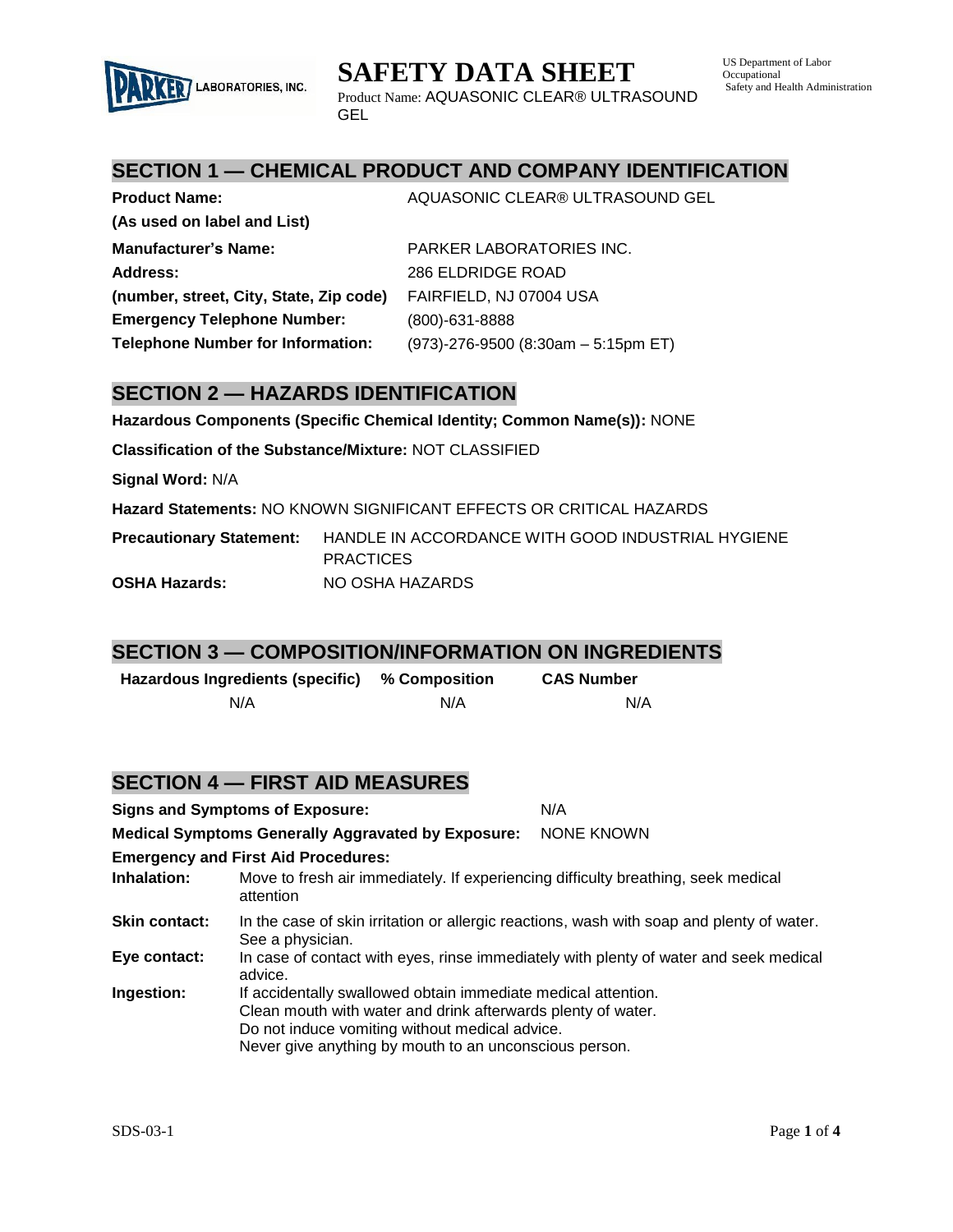

| <b>Product Name:</b>                     | AQUASONIC CLEAR® ULTRASOUND GEL        |
|------------------------------------------|----------------------------------------|
| (As used on label and List)              |                                        |
| <b>Manufacturer's Name:</b>              | PARKER LABORATORIES INC.               |
| Address:                                 | 286 ELDRIDGE ROAD                      |
| (number, street, City, State, Zip code)  | FAIRFIELD, NJ 07004 USA                |
| <b>Emergency Telephone Number:</b>       | $(800) - 631 - 8888$                   |
| <b>Telephone Number for Information:</b> | $(973)$ -276-9500 (8:30am - 5:15pm ET) |

#### **SECTION 2 — HAZARDS IDENTIFICATION**

LABORATORIES, INC.

**Hazardous Components (Specific Chemical Identity; Common Name(s)):** NONE

**Classification of the Substance/Mixture:** NOT CLASSIFIED

**Signal Word:** N/A

**Hazard Statements:** NO KNOWN SIGNIFICANT EFFECTS OR CRITICAL HAZARDS

**Precautionary Statement:** HANDLE IN ACCORDANCE WITH GOOD INDUSTRIAL HYGIENE **PRACTICES OSHA Hazards:** NO OSHA HAZARDS

#### **SECTION 3 — COMPOSITION/INFORMATION ON INGREDIENTS**

| Hazardous Ingredients (specific) | % Composition | <b>CAS Number</b> |
|----------------------------------|---------------|-------------------|
| N/A                              | N/A           | N/A               |

#### **SECTION 4 — FIRST AID MEASURES**

|                    | <b>Signs and Symptoms of Exposure:</b>                                                                                                                                                                                                    | N/A        |
|--------------------|-------------------------------------------------------------------------------------------------------------------------------------------------------------------------------------------------------------------------------------------|------------|
|                    | <b>Medical Symptoms Generally Aggravated by Exposure:</b>                                                                                                                                                                                 | NONE KNOWN |
|                    | <b>Emergency and First Aid Procedures:</b>                                                                                                                                                                                                |            |
| <b>Inhalation:</b> | Move to fresh air immediately. If experiencing difficulty breathing, seek medical<br>attention                                                                                                                                            |            |
| Skin contact:      | In the case of skin irritation or allergic reactions, wash with soap and plenty of water.<br>See a physician.                                                                                                                             |            |
| Eye contact:       | In case of contact with eyes, rinse immediately with plenty of water and seek medical<br>advice.                                                                                                                                          |            |
| Ingestion:         | If accidentally swallowed obtain immediate medical attention.<br>Clean mouth with water and drink afterwards plenty of water.<br>Do not induce vomiting without medical advice.<br>Never give anything by mouth to an unconscious person. |            |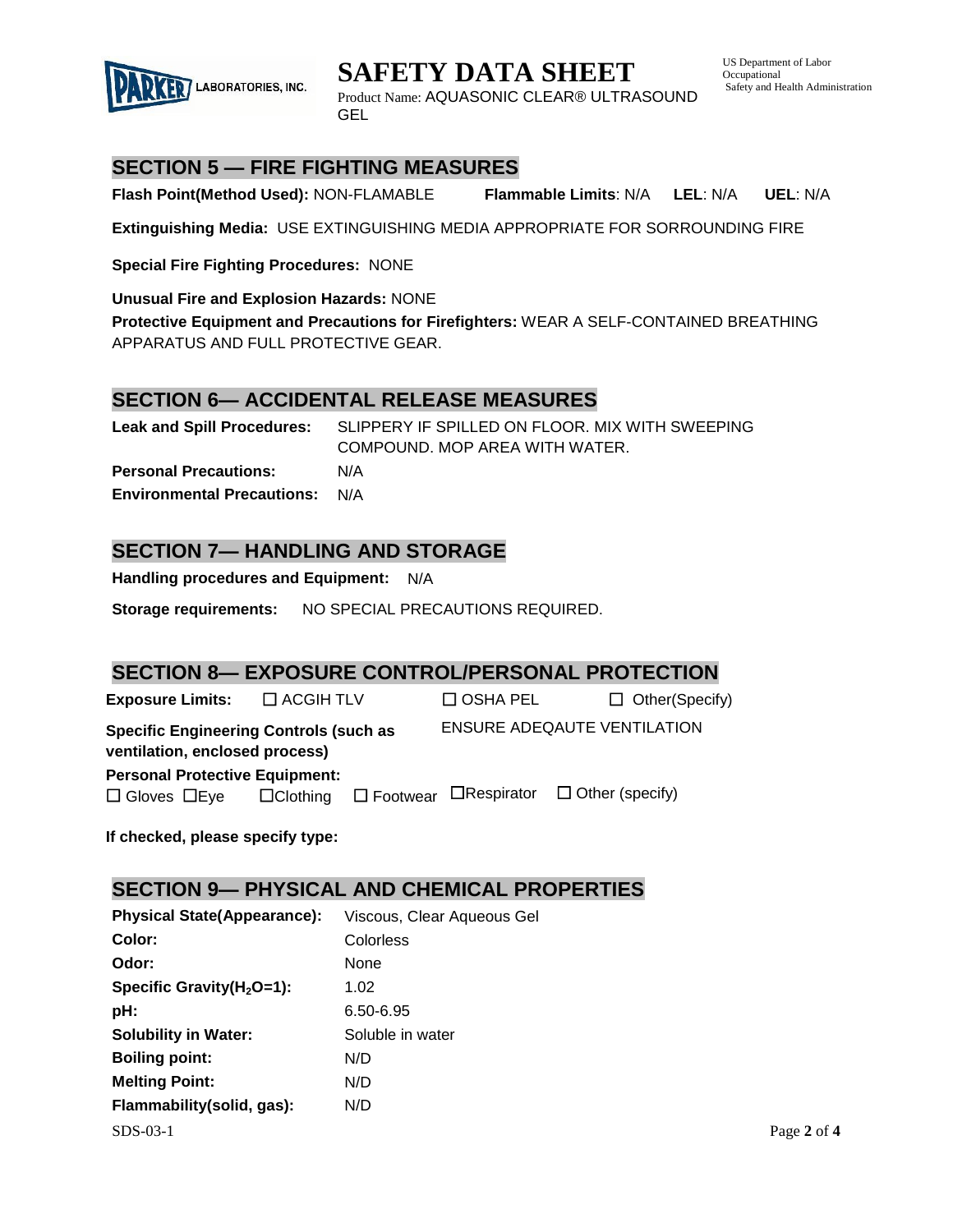

US Department of Labor **Occupational** Safety and Health Administration



Product Name: AQUASONIC CLEAR® ULTRASOUND GEL

## **SECTION 5 — FIRE FIGHTING MEASURES**

**Flash Point(Method Used):** NON-FLAMABLE **Flammable Limits**: N/A **LEL**: N/A **UEL**: N/A

**Extinguishing Media:** USE EXTINGUISHING MEDIA APPROPRIATE FOR SORROUNDING FIRE

**Special Fire Fighting Procedures:** NONE

**Unusual Fire and Explosion Hazards:** NONE

**Protective Equipment and Precautions for Firefighters:** WEAR A SELF-CONTAINED BREATHING APPARATUS AND FULL PROTECTIVE GEAR.

#### **SECTION 6— ACCIDENTAL RELEASE MEASURES**

**Leak and Spill Procedures:** SLIPPERY IF SPILLED ON FLOOR. MIX WITH SWEEPING COMPOUND. MOP AREA WITH WATER. **Personal Precautions:** N/A **Environmental Precautions:** N/A

### **SECTION 7— HANDLING AND STORAGE**

**Handling procedures and Equipment:** N/A

**Storage requirements:** NO SPECIAL PRECAUTIONS REQUIRED.

## **SECTION 8— EXPOSURE CONTROL/PERSONAL PROTECTION**

**Exposure Limits:**  $\Box$  ACGIH TLV  $\Box$  OSHA PEL  $\Box$  Other(Specify) **Specific Engineering Controls (such as ventilation, enclosed process)** ENSURE ADEQAUTE VENTILATION **Personal Protective Equipment:**   $\Box$  Gloves  $\Box$  Eye  $\Box$  Clothing  $\Box$  Footwear  $\Box$  Respirator  $\Box$  Other (specify)

**If checked, please specify type:**

#### **SECTION 9— PHYSICAL AND CHEMICAL PROPERTIES**

| <b>Physical State(Appearance):</b> | Viscous, Clear Aqueous Gel |             |
|------------------------------------|----------------------------|-------------|
| Color:                             | Colorless                  |             |
| Odor:                              | <b>None</b>                |             |
| Specific Gravity( $H_2O=1$ ):      | 1.02                       |             |
| pH:                                | 6.50-6.95                  |             |
| <b>Solubility in Water:</b>        | Soluble in water           |             |
| <b>Boiling point:</b>              | N/D                        |             |
| <b>Melting Point:</b>              | N/D                        |             |
| Flammability(solid, gas):          | N/D                        |             |
| $SDS-03-1$                         |                            | Page 2 of 4 |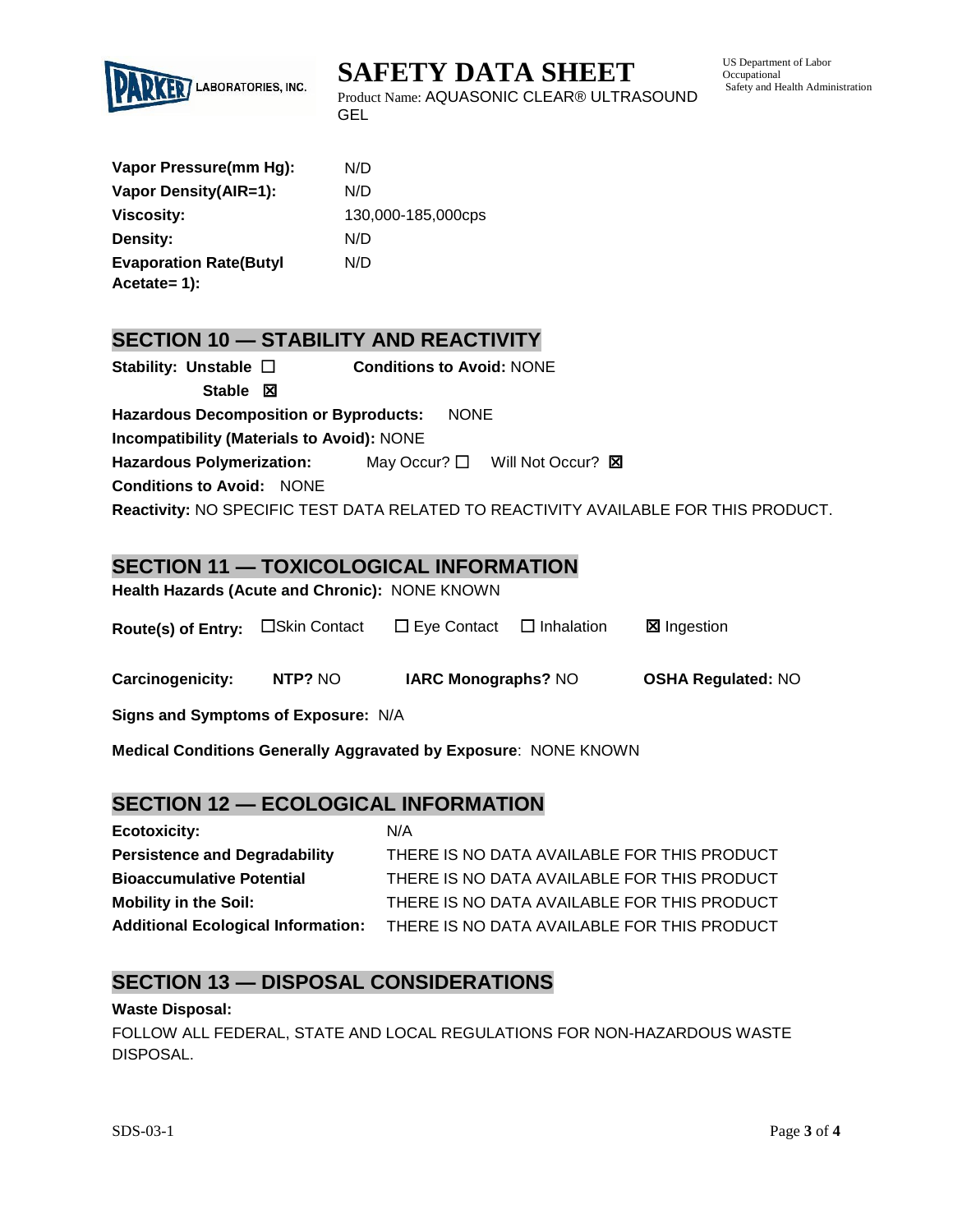

**SAFETY DATA SHEET**

US Department of Labor Occupational Safety and Health Administration

Product Name: AQUASONIC CLEAR® ULTRASOUND GEL

| N/D                |
|--------------------|
| N/D                |
| 130,000-185,000cps |
| N/D                |
| N/D                |
|                    |

## **SECTION 10 — STABILITY AND REACTIVITY**

| Stability: Unstable $\square$                     | <b>Conditions to Avoid: NONE</b> |                                                                                    |
|---------------------------------------------------|----------------------------------|------------------------------------------------------------------------------------|
| Stable $\boxtimes$                                |                                  |                                                                                    |
| <b>Hazardous Decomposition or Byproducts:</b>     | <b>NONE</b>                      |                                                                                    |
| <b>Incompatibility (Materials to Avoid): NONE</b> |                                  |                                                                                    |
| <b>Hazardous Polymerization:</b>                  |                                  | May Occur? $\square$ Will Not Occur? $\square$                                     |
| <b>Conditions to Avoid: NONE</b>                  |                                  |                                                                                    |
|                                                   |                                  | Reactivity: NO SPECIFIC TEST DATA RELATED TO REACTIVITY AVAILABLE FOR THIS PRODUCT |

## **SECTION 11 — TOXICOLOGICAL INFORMATION**

|  | Health Hazards (Acute and Chronic): NONE KNOWN |  |
|--|------------------------------------------------|--|
|--|------------------------------------------------|--|

| Route(s) of Entry: □Skin Contact |  | $\Box$ Eye Contact $\Box$ Inhalation |  | <b>⊠</b> Ingestion |
|----------------------------------|--|--------------------------------------|--|--------------------|
|----------------------------------|--|--------------------------------------|--|--------------------|

| Carcinogenicity: | NTP? NO | <b>IARC Monographs? NO</b> | <b>OSHA Regulated: NO</b> |
|------------------|---------|----------------------------|---------------------------|
|------------------|---------|----------------------------|---------------------------|

**Signs and Symptoms of Exposure:** N/A

**Medical Conditions Generally Aggravated by Exposure**: NONE KNOWN

## **SECTION 12 — ECOLOGICAL INFORMATION**

| <b>Ecotoxicity:</b>                       | N/A                                         |
|-------------------------------------------|---------------------------------------------|
| <b>Persistence and Degradability</b>      | THERE IS NO DATA AVAILABLE FOR THIS PRODUCT |
| <b>Bioaccumulative Potential</b>          | THERE IS NO DATA AVAILABLE FOR THIS PRODUCT |
| <b>Mobility in the Soil:</b>              | THERE IS NO DATA AVAILABLE FOR THIS PRODUCT |
| <b>Additional Ecological Information:</b> | THERE IS NO DATA AVAILABLE FOR THIS PRODUCT |

## **SECTION 13 — DISPOSAL CONSIDERATIONS**

#### **Waste Disposal:**

FOLLOW ALL FEDERAL, STATE AND LOCAL REGULATIONS FOR NON-HAZARDOUS WASTE DISPOSAL.